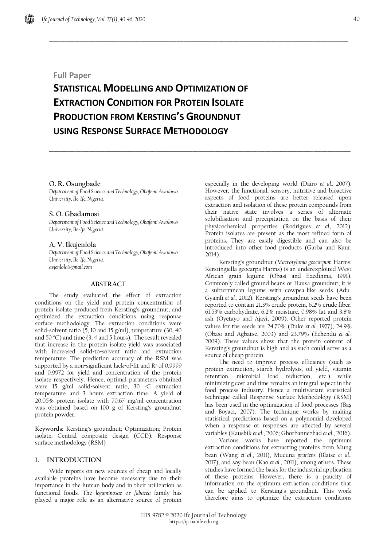# **Full Paper**

# **STATISTICAL MODELLING AND OPTIMIZATION OF EXTRACTION CONDITION FOR PROTEIN ISOLATE PRODUCTION FROM KERSTING'S GROUNDNUT USING RESPONSE SURFACE METHODOLOGY**

 $\_$  , and the set of the set of the set of the set of the set of the set of the set of the set of the set of the set of the set of the set of the set of the set of the set of the set of the set of the set of the set of th

\_\_\_\_\_\_\_\_\_\_\_\_\_\_\_\_\_\_\_\_\_\_\_\_\_\_\_\_\_\_\_\_\_\_\_\_\_\_\_\_\_\_\_\_\_\_\_\_\_\_\_\_\_\_\_\_\_\_\_\_\_\_\_\_\_\_\_\_\_\_\_\_\_\_\_\_\_\_\_\_\_\_\_\_\_\_\_\_\_\_\_\_\_\_\_\_\_\_\_\_\_\_\_\_\_\_\_\_\_\_\_\_\_\_\_\_\_\_\_\_\_\_\_\_\_\_\_\_\_\_

## **O. R. Osungbade**

*Department of Food Science and Technology, Obafemi Awolowo University, Ile-Ife, Nigeria.*

#### **S. O. Gbadamosi**

*Department of Food Science and Technology, Obafemi Awolowo University, Ile-Ife, Nigeria.*

## **A. V. Ikujenlola**

*Department of Food Science and Technology, Obafemi Awolowo University, Ile-Ife, Nigeria. avjenlola@gmail.com*

## **ABSTRACT**

The study evaluated the effect of extraction conditions on the yield and protein concentration of protein isolate produced from Kersting's groundnut, and optimized the extraction conditions using response surface methodology. The extraction conditions were solid-solvent ratio  $(5, 10 \text{ and } 15 \text{ g/ml})$ , temperature  $(30, 40 \text{ m})$ and 50 °C) and time (3, 4 and 5 hours). The result revealed that increase in the protein isolate yield was associated with increased solid-to-solvent ratio and extraction temperature. The prediction accuracy of the RSM was supported by a non-significant lack-of-fit and  $R^2$  of 0.9999 and 0.9972 for yield and concentration of the protein isolate respectively. Hence, optimal parameters obtained were 15 g/ml solid-solvent ratio, 30 °C extraction temperature and 3 hours extraction time. A yield of 20.05% protein isolate with 70.67 mg/ml concentration was obtained based on 100 g of Kersting's groundnut protein powder.

**Keywords:** Kersting's groundnut; Optimization; Protein isolate; Central composite design (CCD); Response surface methodology (RSM)

## **1. INTRODUCTION**

Wide reports on new sources of cheap and locally available proteins have become necessary due to their importance in the human body and in their utilization as functional foods. The *leguminosae* or *fabacea* family has played a major role as an alternative source of protein especially in the developing world (Dairo *et al.,* 2007). However, the functional, sensory, nutritive and bioactive aspects of food proteins are better released upon extraction and isolation of these protein compounds from their native state involves a series of alternate solubilisation and precipitation on the basis of their physicochemical properties (Rodrigues *et al.,* 2012). Protein isolates are present as the most refined form of proteins. They are easily digestible and can also be introduced into other food products (Garba and Kaur, 2014)

Kersting's groundnut (*Macrotyloma geocarpum* Harms; Kerstingiella geocarpa Harms) is an underexploited West African grain legume (Obasi and Ezedinma, 1991). Commonly called ground beans or Hausa groundnut, it is a subterranean legume with cowpea-like seeds (Adu-Gyamfi *et al.,* 2012). Kersting's groundnut seeds have been reported to contain 21.3% crude protein, 6.2% crude fiber, 61.53% carbohydrate, 6.2% moisture, 0.98% fat and 3.8% ash (Oyetayo and Ajayi, 2009). Other reported protein values for the seeds are 24.70% (Duke *et al.,* 1977), 24.9% (Obasi and Agbatse, 2003) and 23.79% (Echendu *et al.,* 2009). These values show that the protein content of Kersting's groundnut is high and as such could serve as a source of cheap protein.

The need to improve process efficiency (such as protein extraction, starch hydrolysis, oil yield, vitamin retention, microbial load reduction, etc.) while minimizing cost and time remains an integral aspect in the food process industry. Hence a multivariate statistical technique called Response Surface Methodology (RSM) has been used in the optimization of food processes (Baş and Boyacı, 2007). The technique works by making statistical predictions based on a polynomial developed when a response or responses are affected by several variables (Kaushik *et al*., 2006; Ghorbannezhad *et al*., 2016).

Various works have reported the optimum extraction conditions for extracting proteins from Mung bean (Wang *et al*., 2011), Mucuna *pruriens* (Blaise *et al*., 2017), and soy bean (Kao *et al*., 2011), among others. These studies have formed the basis for the industrial application of these proteins. However, there is a paucity of information on the optimum extraction conditions that can be applied to Kersting's groundnut. This work therefore aims to optimize the extraction conditions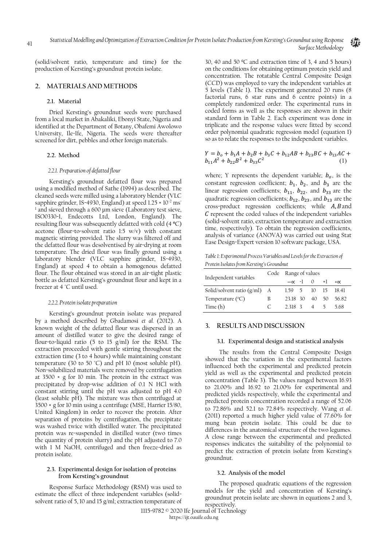(solid/solvent ratio, temperature and time) for the production of Kersting's groundnut protein isolate.

## **2. MATERIALS AND METHODS**

#### **2.1. Material**

Dried Kersting's groundnut seeds were purchased from a local market in Abakaliki, Ebonyi State, Nigeria and identified at the Department of Botany, Obafemi Awolowo University, Ile-Ife, Nigeria. The seeds were thereafter screened for dirt, pebbles and other foreign materials.

#### **2.2. Method**

#### *2.2.1. Preparation of defatted flour*

Kersting's groundnut defatted flour was prepared using a modified method of Sathe (1994) as described. The cleaned seeds were milled using a laboratory blender (VLC sapphire grinder, IS-4930, England) at speed 1.25 × 10<sup>-2</sup> ms<sup>-</sup> <sup>1</sup> and sieved through a 600 µm sieve (Laboratory test sieve, ISO0330-1, Endecotts Ltd, London, England). The resulting flour was subsequently defatted with cold (4 °C) acetone (flour-to-solvent ratio 1:5 w/v) with constant magnetic stirring provided. The slurry was filtered off and the defatted flour was desolventised by air-drying at room temperature. The dried flour was finally ground using a laboratory blender (VLC sapphire grinder, IS-4930, England) at speed 4 to obtain a homogenous defatted flour. The flour obtained was stored in an air-tight plastic bottle as defatted Kersting's groundnut flour and kept in a freezer at 4 °C until used.

#### *2.2.2. Protein isolate preparation*

Kersting's groundnut protein isolate was prepared by a method described by Gbadamosi *et al.* (2012). A known weight of the defatted flour was dispersed in an amount of distilled water to give the desired range of flour-to-liquid ratio (5 to 15 g/ml) for the RSM. The extraction proceeded with gentle stirring throughout the extraction time (3 to 4 hours) while maintaining constant temperature (30 to 50 ˚C) and pH 10 (most soluble pH). Non-solubilized materials were removed by centrifugation at 3500 × g for 10 min. The protein in the extract was precipitated by drop-wise addition of 0.1 N HCl with constant stirring until the pH was adjusted to pH 4.0 (least soluble pH). The mixture was then centrifuged at 3500 × g for 10 min using a centrifuge (MSE, Harrier 15/80, United Kingdom) in order to recover the protein. After separation of proteins by centrifugation, the precipitate was washed twice with distilled water. The precipitated protein was re-suspended in distilled water (two times the quantity of protein slurry) and the pH adjusted to 7.0 with 1 M NaOH, centrifuged and then freeze-dried as protein isolate.

#### **2.3. Experimental design for isolation of proteins from Kersting's groundnut**

Response Surface Methodology (RSM) was used to estimate the effect of three independent variables (solidsolvent ratio of 5, 10 and 15 g/ml; extraction temperature of 30, 40 and 50 ºC and extraction time of 3, 4 and 5 hours) on the conditions for obtaining optimum protein yield and concentration. The rotatable Central Composite Design (CCD) was employed to vary the independent variables at 5 levels (Table 1). The experiment generated 20 runs (8 factorial runs, 6 star runs and 6 centre points) in a completely randomized order. The experimental runs in coded forms as well as the responses are shown in their standard form in Table 2. Each experiment was done in triplicate and the response values were fitted by second order polynomial quadratic regression model (equation 1) so as to relate the responses to the independent variables.

$$
Y = bo + b1A + b2B + b3C + b12AB + b23BC + b13AC + b11A2 + b22B2 + b33C2
$$
 (1)

where; Y represents the dependent variable;  $b<sub>o</sub>$ , is the constant regression coefficient;  $b_1$ ,  $b_2$ , and  $b_3$  are the linear regression coefficients;  $b_{11}$ ,  $b_{22}$ , and  $b_{33}$  are the quadratic regression coefficients;  $b_{12}$ ,  $b_{23}$ , and  $b_{13}$  are the cross-product regression coefficients; while  $A$ ,  $B$  and  $C$  represent the coded values of the independent variables (solid-solvent ratio, extraction temperature and extraction time, respectively). To obtain the regression coefficients, analysis of variance (ANOVA) was carried out using Stat Ease Design-Expert version 10 software package, USA.

*Table 1: Experimental Process Variables and Levels for the Extraction of Protein Isolates from Kersting's Groundnut*

| Independent variables          |   | Code Range of values |  |                    |  |                      |  |
|--------------------------------|---|----------------------|--|--------------------|--|----------------------|--|
|                                |   |                      |  | $-\alpha$ -1 () +1 |  | $+\alpha$            |  |
| Solid/solvent ratio $(g/ml)$ A |   | 1.59 5 10 15 18.41   |  |                    |  |                      |  |
| Temperature $({}^{\circ}C)$    | B |                      |  |                    |  | 23.18 30 40 50 56.82 |  |
| Time(h)                        | C | 2318345              |  |                    |  | 5.68                 |  |

#### **3. RESULTS AND DISCUSSION**

#### **3.1. Experimental design and statistical analysis**

The results from the Central Composite Design showed that the variation in the experimental factors influenced both the experimental and predicted protein yield as well as the experimental and predicted protein concentration (Table 3). The values ranged between 16.93 to 21.00% and 16.92 to 21.00% for experimental and predicted yields respectively, while the experimental and predicted protein concentration recorded a range of 52.06 to 72.86% and 52.1 to 72.84% respectively. Wang *et al*. (2011) reported a much higher yield value of 77.60% for mung bean protein isolate. This could be due to differences in the anatomical structure of the two legumes. A close range between the experimental and predicted responses indicates the suitability of the polynomial to predict the extraction of protein isolate from Kersting's groundnut.

#### **3.2. Analysis of the model**

The proposed quadratic equations of the regression models for the yield and concentration of Kersting's groundnut protein isolate are shown in equations 2 and 3, respectively.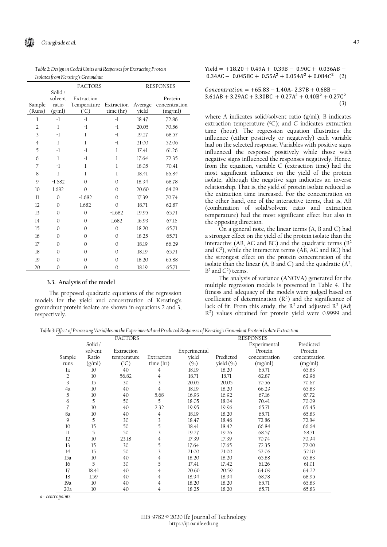| Isolates from Kersting's Groundnut |              |                |              |         |                  |  |  |
|------------------------------------|--------------|----------------|--------------|---------|------------------|--|--|
|                                    |              | <b>FACTORS</b> |              |         | <b>RESPONSES</b> |  |  |
|                                    | Solid /      |                |              |         |                  |  |  |
|                                    | solvent      | Extraction     |              |         | Protein          |  |  |
| Sample                             | ratio        | Temperature    | Extraction   | Average | concentration    |  |  |
| (Runs)                             | (g/ml)       | (°C)           | time (hr)    | yield   | (mg/ml)          |  |  |
| 1                                  | -1           | $-1$           | -1           | 18.47   | 72.86            |  |  |
| $\overline{2}$                     | 1            | $-1$           | -1           | 20.05   | 70.56            |  |  |
| 3                                  | -1           | 1              | -1           | 19.27   | 68.57            |  |  |
| $\overline{4}$                     | 1            | 1              | $-1$         | 21.00   | 52.06            |  |  |
| 5                                  | -1           | $-1$           | 1            | 17.41   | 61.26            |  |  |
| 6                                  | 1            | -1             | 1            | 17.64   | 72.35            |  |  |
| $\overline{7}$                     | -1           | 1              | 1            | 18.05   | 70.41            |  |  |
| 8                                  | 1            | 1              | 1            | 18.41   | 66.84            |  |  |
| 9                                  | $-1.682$     | $\Omega$       | $\Omega$     | 18.94   | 68.78            |  |  |
| 10                                 | 1.682        | $\Omega$       | $\Omega$     | 20.60   | 64.09            |  |  |
| $_{\rm ll}$                        | $\mathbf{0}$ | $-1.682$       | $\Omega$     | 17.39   | 70.74            |  |  |
| 12                                 | $\mathbf{0}$ | 1.682          | $\mathbf{O}$ | 18.71   | 62.87            |  |  |
| 13                                 | $\Omega$     | $\Omega$       | $-1.682$     | 19.95   | 65.71            |  |  |
| 14                                 | $\mathbf{0}$ | $\mathbf{0}$   | 1.682        | 16.93   | 67.16            |  |  |
| 15                                 | $\mathbf{0}$ | $\Omega$       | $\mathbf{0}$ | 18.20   | 65.71            |  |  |
| 16                                 | $\mathbf{0}$ | $\Omega$       | $\Omega$     | 18.25   | 65.71            |  |  |
| 17                                 | $\mathbf{0}$ | $\mathbf{0}$   | $\Omega$     | 18.19   | 66.29            |  |  |
| 18                                 | $\mathbf{0}$ | 0              | $\Omega$     | 18.19   | 65.71            |  |  |
| 19                                 | $\mathbf{0}$ | 0              | $\mathbf{0}$ | 18.20   | 65.88            |  |  |
| 20                                 | $\mathbf{0}$ | 0              | $\mathbf{0}$ | 18.19   | 65.71            |  |  |

*Table 2: Design in Coded Units and Responses for Extracting Protein* 

## **3.3. Analysis of the model**

The proposed quadratic equations of the regression models for the yield and concentration of Kersting's groundnut protein isolate are shown in equations 2 and 3, respectively.

 $Yield = +18.20 + 0.49A + 0.39B - 0.90C + 0.036AB 0.34AC - 0.045BC + 0.55A^2 + 0.054B^2 + 0.084C^2$  (2)

 $Concentration = +65.83 - 1.40A - 2.37B + 0.68B 3.61AB + 3.29AC + 3.30BC + 0.27A^2 + 0.40B^2 + 0.27C^2$ (3)

where A indicates solid/solvent ratio (g/ml); B indicates extraction temperature (ºC); and C indicates extraction time (hour). The regression equation illustrates the influence (either positively or negatively) each variable had on the selected response. Variables with positive signs influenced the response positively while those with negative signs influenced the responses negatively. Hence, from the equation, variable C (extraction time) had the most significant influence on the yield of the protein isolate, although the negative sign indicates an inverse relationship. That is, the yield of protein isolate reduced as the extraction time increased. For the concentration on the other hand, one of the interactive terms, that is, AB (combination of solid/solvent ratio and extraction temperature) had the most significant effect but also in the opposing direction.

On a general note, the linear terms (A, B and C) had a stronger effect on the yield of the protein isolate than the interactive (AB, AC and BC) and the quadratic terms  $(B<sup>2</sup>)$ and  $C<sup>2</sup>$ ), while the interactive terms (AB, AC and BC) had the strongest effect on the protein concentration of the isolate than the linear (A, B and C) and the quadratic  $(A^2, A^2)$  $B<sup>2</sup>$  and  $C<sup>2</sup>$ ) terms.

The analysis of variance (ANOVA) generated for the multiple regression models is presented in Table 4. The fitness and adequacy of the models were judged based on coefficient of determination  $(R^2)$  and the significance of lack-of-fit. From this study, the  $\mathbb{R}^2$  and adjusted  $\mathbb{R}^2$  (Adj R2 ) values obtained for protein yield were 0.9999 and

*Table 3: Effect of Processing Variables on the Experimental and Predicted Responses of Kersting's Groundnut Protein Isolate Extraction*

| IJ             | ◡       |                |            | <b>L</b>     | $\circ$   |                  |               |
|----------------|---------|----------------|------------|--------------|-----------|------------------|---------------|
|                |         | <b>FACTORS</b> |            |              |           | <b>RESPONSES</b> |               |
|                | Solid / |                |            |              |           | Experimental     | Predicted     |
|                | solvent | Extraction     |            | Experimental |           | Protein          | Protein       |
| Sample         | Ratio   | temperature    | Extraction | yield        | Predicted | concentration    | concentration |
| runs           | (g/ml)  | (°C)           | time (hr)  | (%)          | yield (%) | (mg/ml)          | (mg/ml)       |
| la             | 10      | 40             | 4          | 18.19        | 18.20     | 65.71            | 65.83         |
| $\overline{2}$ | 10      | 56.82          | 4          | 18.71        | 18.71     | 62.87            | 62.96         |
| 3              | 15      | 30             | 3          | 20.05        | 20.05     | 70.56            | 70.67         |
| 4a             | 10      | 40             | 4          | 18.19        | 18.20     | 66.29            | 65.83         |
| 5              | 10      | 40             | 5.68       | 16.93        | 16.92     | 67.16            | 67.72         |
| 6              | 5       | 50             | 5          | 18.05        | 18.04     | 70.41            | 70.09         |
| 7              | 10      | 40             | 2.32       | 19.95        | 19.96     | 65.71            | 65.45         |
| 8a             | 10      | 40             | 4          | 18.19        | 18.20     | 65.71            | 65.83         |
| 9              | 5       | 30             | 3          | 18.47        | 18.46     | 72.86            | 72.84         |
| 10             | 15      | 50             | 5          | 18.41        | 18.42     | 66.84            | 66.64         |
| $_{11}$        | 5       | 50             | 3          | 19.27        | 19.26     | 68.57            | 68.71         |
| 12             | 10      | 23.18          | 4          | 17.39        | 17.39     | 70.74            | 70.94         |
| 13             | 15      | 30             | 5          | 17.64        | 17.65     | 72.35            | 72.00         |
| 14             | 15      | 50             | 3          | 21.00        | 21.00     | 52.06            | 52.10         |
| 15a            | 10      | 40             | 4          | 18.20        | 18.20     | 65.88            | 65.83         |
| 16             | 5       | 30             | 5          | 17.41        | 17.42     | 61.26            | 61.01         |
| 17             | 18.41   | 40             | 4          | 20.60        | 20.59     | 64.09            | 64.22         |
| 18             | 1.59    | 40             | 4          | 18.94        | 18.94     | 68.78            | 68.95         |
| 19a            | 10      | 40             | 4          | 18.20        | 18.20     | 65.71            | 65.83         |
| 20a            | 10      | 40             | 4          | 18.25        | 18.20     | 65.71            | 65.83         |

*a = centre points*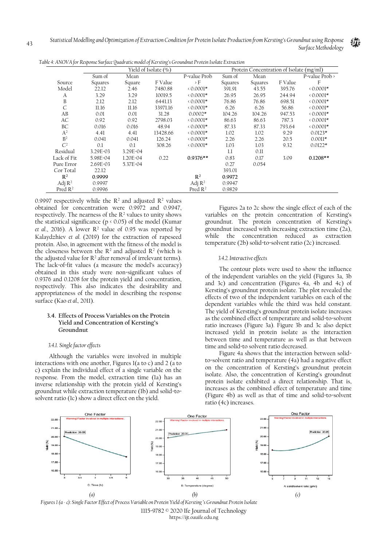| J                   | $\mathbf{r}$<br>$\overline{J}$<br>∼ |          | $\circ$              |                     |         |                                          |         |                            |
|---------------------|-------------------------------------|----------|----------------------|---------------------|---------|------------------------------------------|---------|----------------------------|
|                     |                                     |          | Yield of Isolate (%) |                     |         | Protein Concentration of Isolate (mg/ml) |         |                            |
|                     | Sum of                              | Mean     |                      | P-value Prob        | Sum of  | Mean                                     |         | P-value $Prob \rightarrow$ |
| Source              | Squares                             | Square   | F Value              | $\rightarrow$ F     | Squares | Squares                                  | F Value | F                          |
| Model               | 22.12                               | 2.46     | 7480.88              | $0.0001*$           | 391.91  | 43.55                                    | 395.76  | $0.0001*$                  |
| A                   | 3.29                                | 3.29     | 10019.5              | $0.0001*$           | 26.95   | 26.95                                    | 244.94  | $0.0001*$                  |
| B                   | 2.12                                | 2.12     | 6441.13              | $0.0001*$           | 76.86   | 76.86                                    | 698.51  | $0.0001*$                  |
| $\mathsf{C}$        | 11.16                               | 11.16    | 33971.16             | $0.0001*$           | 6.26    | 6.26                                     | 56.86   | $0.0001*$                  |
| AB                  | 0.01                                | 0.01     | 31.28                | $0.0002*$           | 104.26  | 104.26                                   | 947.53  | $0.0001*$                  |
| AC                  | 0.92                                | 0.92     | 2798.03              | $0.0001*$           | 86.63   | 86.63                                    | 787.3   | $0.0001*$                  |
| BC                  | 0.016                               | 0.016    | 48.94                | $0.0001*$           | 87.33   | 87.33                                    | 793.64  | $0.0001*$                  |
| $A^2$               | 4.41                                | 4.41     | 13428.66             | $0.0001*$           | 1.02    | 1.02                                     | 9.29    | $0.0123*$                  |
| B <sup>2</sup>      | 0.041                               | 0.041    | 126.24               | $0.0001*$           | 2.26    | 2.26                                     | 20.5    | $0.0011*$                  |
| C <sup>2</sup>      | 0.1                                 | 0.1      | 308.26               | $0.0001*$           | 1.03    | 1.03                                     | 9.32    | $0.0122*$                  |
| Residual            | 3.29E-03                            | 3.29E-04 |                      |                     | 1.1     | 0.11                                     |         |                            |
| Lack of Fit         | 5.98E-04                            | 1.20E-04 | 0.22                 | $0.9376**$          | 0.83    | 0.17                                     | 3.09    | $0.1208**$                 |
| Pure Error          | 2.69E-03                            | 5.37E-04 |                      |                     | 0.27    | 0.054                                    |         |                            |
| Cor Total           | 22.12                               |          |                      |                     | 393.01  |                                          |         |                            |
| R <sup>2</sup>      | 0.9999                              |          |                      | R <sup>2</sup>      | 0.9972  |                                          |         |                            |
| Adj $R^2$           | 0.9997                              |          |                      | Adj $R^2$           | 0.9947  |                                          |         |                            |
| Pred $\mathbb{R}^2$ | 0.9996                              |          |                      | Pred $\mathbb{R}^2$ | 0.9829  |                                          |         |                            |

*Table 4: ANOVA for Response Surface Quadratic model of Kersting's Groundnut Protein Isolate Extraction*

0.9997 respectively while the  $R^2$  and adjusted  $R^2$  values obtained for concentration were 0.9972 and 0.9947, respectively. The nearness of the  $R^2$  values to unity shows the statistical significance ( $p \triangleleft 0.05$ ) of the model (Kumar *et al.*, 2016). A lower  $\mathbb{R}^2$  value of 0.95 was reported by Kalaydzhiev *et al.* (2019) for the extraction of rapeseed protein. Also, in agreement with the fitness of the model is the closeness between the  $\mathbb{R}^2$  and adjusted  $\mathbb{R}^2$  (which is the adjusted value for  $R^2$  after removal of irrelevant terms). The lack-of-fit values (a measure the model's accuracy) obtained in this study were non-significant values of 0.9376 and 0.1208 for the protein yield and concentration, respectively. This also indicates the desirability and appropriateness of the model in describing the response surface (Kao *et al.,* 2011).

## **3.4. Effects of Process Variables on the Protein Yield and Concentration of Kersting's Groundnut**

#### *3.4.1. Single factor effects*

Although the variables were involved in multiple interactions with one another, Figures 1(a to c) and 2 (a to c) explain the individual effect of a single variable on the response. From the model, extraction time (1a) has an inverse relationship with the protein yield of Kersting's groundnut while extraction temperature (1b) and solid-tosolvent ratio (1c) show a direct effect on the yield.

Figures 2a to 2c show the single effect of each of the variables on the protein concentration of Kersting's groundnut. The protein concentration of Kersting's groundnut increased with increasing extraction time (2a), while the concentration reduced as extraction temperature (2b) solid-to-solvent ratio (2c) increased.

Űù.

#### *3.4.2.Interactive effects*

The contour plots were used to show the influence of the independent variables on the yield (Figures 3a, 3b and 3c) and concentration (Figures 4a, 4b and 4c) of Kersting's groundnut protein isolate. The plot revealed the effects of two of the independent variables on each of the dependent variables while the third was held constant. The yield of Kersting's groundnut protein isolate increases as the combined effect of temperature and solid-to-solvent ratio increases (Figure 3a). Figure 3b and 3c also depict increased yield in protein isolate as the interaction between time and temperature as well as that between time and solid-to solvent ratio decreased.

Figure 4a shows that the interaction between solidto-solvent ratio and temperature (4a) had a negative effect on the concentration of Kersting's groundnut protein isolate. Also, the concentration of Kersting's groundnut protein isolate exhibited a direct relationship. That is, increases as the combined effect of temperature and time (Figure 4b) as well as that of time and solid-to-solvent ratio (4c) increases.



43 1115-9782 © 2020 Ife Journal of Technology https://ijt.oauife.edu.ng *Figures 1 (a -c): Single Factor Effect of Process Variable on Protein Yield of Kersting's Groundnut Protein Isolate*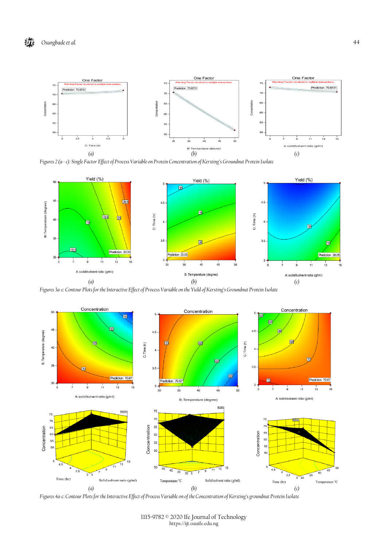

*Figures 2 (a -c): Single Factor Effect of Process Variable on Protein Concentration of Kersting's Groundnut Protein Isolate*



*Figures 3a-c: Contour Plots for the Interactive Effect of Process Variable on the Yield of Kersting's Groundnut Protein Isolate*



*Figures 4a-c: Contour Plots for the Interactive Effect of Process Variable on of the Concentration of Kersting's groundnut Protein Isolate*

<sup>1115-9782 © 2020</sup> Ife Journal of Technology https://ijt.oauife.edu.ng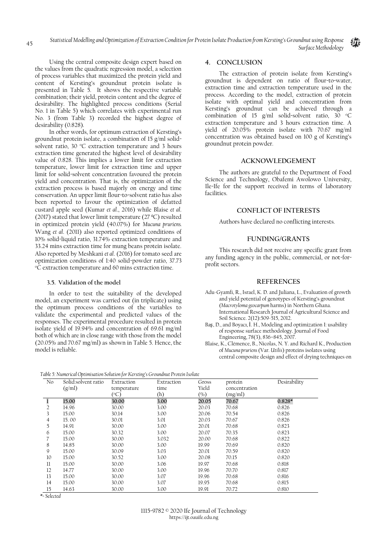Using the central composite design expert based on the values from the quadratic regression model, a selection of process variables that maximized the protein yield and content of Kersting's groundnut protein isolate is presented in Table 5. It shows the respective variable combination; their yield, protein content and the degree of desirability. The highlighted process conditions (Serial No. 1 in Table 5) which correlates with experimental run No. 3 (from Table 3) recorded the highest degree of desirability (0.828).

In other words, for optimum extraction of Kersting's groundnut protein isolate, a combination of 15 g/ml solidsolvent ratio, 30 °C extraction temperature and 3 hours extraction time generated the highest level of desirability value of 0.828. This implies a lower limit for extraction temperature, lower limit for extraction time and upper limit for solid-solvent concentration favoured the protein yield and concentration. That is, the optimization of the extraction process is based majorly on energy and time conservation. An upper limit flour-to-solvent ratio has also been reported to favour the optimization of defatted custard apple seed (Kumar *et al*., 2016) while Blaise *et al*. (2017) stated that lower limit temperature (27 ºC) resulted in optimized protein yield (40.07%) for *Mucuna pruriens.*  Wang *et al*. (2011) also reported optimized conditions of 10% solid-liquid ratio, 31.74% extraction temperature and 33.24 mins extraction time for mung beans protein isolate. Also reported by Meshkani *et al*. (2016) for tomato seed are optimization conditions of 1:40 solid-powder ratio, 37.73 <sup>o</sup>C extraction temperature and 60 mins extraction time.

## **3.5. Validation of the model**

In order to test the suitability of the developed model, an experiment was carried out (in triplicate) using the optimum process conditions of the variables to validate the experimental and predicted values of the responses. The experimental procedure resulted in protein isolate yield of 19.94% and concentration of 69.61 mg/ml both of which are in close range with those from the model (20.05% and 70.67 mg/ml) as shown in Table 5. Hence, the model is reliable.

## **4. CONCLUSION**

The extraction of protein isolate from Kersting's groundnut is dependent on ratio of flour-to-water, extraction time and extraction temperature used in the process. According to the model, extraction of protein isolate with optimal yield and concentration from Kersting's groundnut can be achieved through a combination of 15 g/ml solid-solvent ratio,  $30^{\circ}$ C extraction temperature and 3 hours extraction time. A yield of 20.05% protein isolate with 70.67 mg/ml concentration was obtained based on 100 g of Kersting's groundnut protein powder.

## **ACKNOWLEDGEMENT**

The authors are grateful to the Department of Food Science and Technology, Obafemi Awolowo University, Ile-Ife for the support received in terms of laboratory facilities.

## **CONFLICT OF INTERESTS**

Authors have declared no conflicting interests.

## **FUNDING/GRANTS**

This research did not receive any specific grant from any funding agency in the public, commercial, or not-forprofit sectors.

# **REFERENCES**

- Adu-Gyamfi, R., Israel, K. D. and Juliana, L., Evaluation of growth and yield potential of genotypes of Kersting's groundnut (*Macrotyloma geocarpum* harms) in Northern Ghana. International Research Journal of Agricultural Science and Soil Science. 2(12):509-515, 2012.
- Baş, D., and Boyacı, İ. H., Modeling and optimization I: usability of response surface methodology. Journal of Food Engineering, 78(3), 836–845, 2007.
- Blaise, K., Clémence, B., Nicolas, N. Y. and Richard K., Production of *Mucuna pruriens* (Var. *Utilis*) proteins isolates using central composite design and effect of drying techniques on

*Table 5: Numerical Optimisation Solution for Kersting's Groundnut Protein Isolate*

| No          | , , , , , , , , , , , , ,<br>Solid:solvent ratio | Extraction  | Extraction | Gross | protein       | Desirability |
|-------------|--------------------------------------------------|-------------|------------|-------|---------------|--------------|
|             | (g/ml)                                           | temperature | time       | Yield | concentration |              |
|             |                                                  | (°C)        | (h)        | (%)   | (mg/ml)       |              |
|             | 15.00                                            | 30.00       | 3.00       | 20.05 | 70.67         | $0.828*$     |
| 2           | 14.96                                            | 30.00       | 3.00       | 20.03 | 70.68         | 0.826        |
| 3           | 15.00                                            | 30.14       | 3.00       | 20.06 | 70.54         | 0.826        |
| 4           | 15.00                                            | 30.01       | 3.01       | 20.03 | 70.67         | 0.826        |
| 5           | 14.91                                            | 30.00       | 3.00       | 20.01 | 70.68         | 0.823        |
| 6           | 15.00                                            | 30.32       | 3.00       | 20.07 | 70.35         | 0.823        |
|             | 15.00                                            | 30.00       | 3.032      | 20.00 | 70.68         | 0.822        |
| 8           | 14.85                                            | 30.00       | 3.00       | 19.99 | 70.69         | 0.820        |
| 9           | 15.00                                            | 30.09       | 3.03       | 20.01 | 70.59         | 0.820        |
| 10          | 15.00                                            | 30.52       | 3.00       | 20.08 | 70.15         | 0.820        |
| $_{\rm ll}$ | 15.00                                            | 30.00       | 3.06       | 19.97 | 70.68         | 0.818        |
| 12          | 14.77                                            | 30.00       | 3.00       | 19.96 | 70.70         | 0.817        |
| 13          | 15.00                                            | 30.00       | 3.07       | 19.96 | 70.68         | 0.816        |
| 14          | 15.00                                            | 30.00       | 3.07       | 19.95 | 70.68         | 0.815        |
| 15          | 14.63                                            | 30.00       | 3.00       | 19.91 | 70.72         | 0.810        |

*\*= Selected*